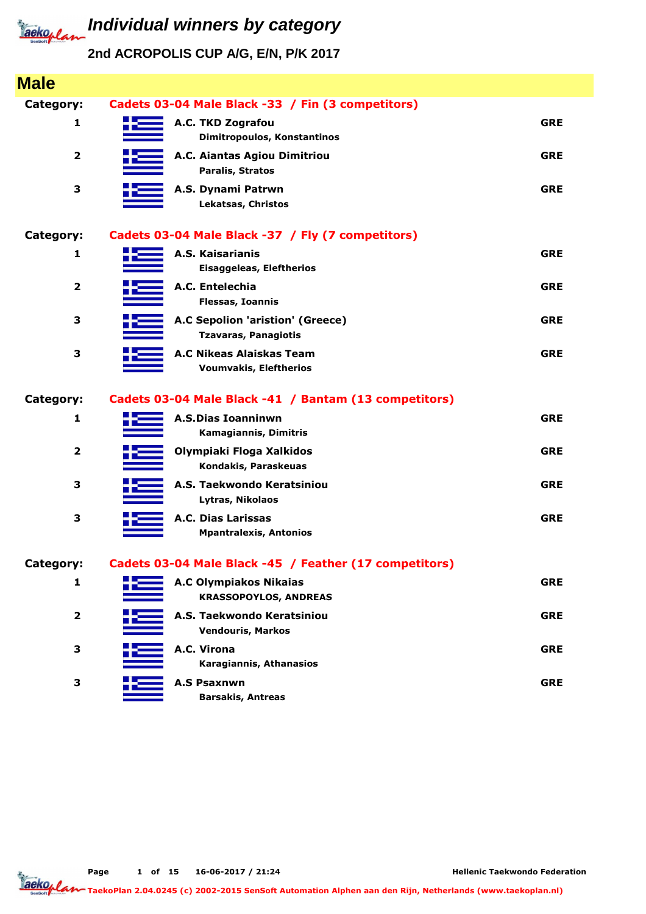

**2nd ACROPOLIS CUP A/G, E/N, P/K 2017**

| <b>Male</b>    |                                                                 |            |
|----------------|-----------------------------------------------------------------|------------|
| Category:      | Cadets 03-04 Male Black -33 / Fin (3 competitors)               |            |
| 1              | A.C. TKD Zografou<br>Dimitropoulos, Konstantinos                | <b>GRE</b> |
| $\overline{2}$ | A.C. Aiantas Agiou Dimitriou<br>Paralis, Stratos                | <b>GRE</b> |
| 3              | A.S. Dynami Patrwn<br>Lekatsas, Christos                        | <b>GRE</b> |
| Category:      | Cadets 03-04 Male Black -37 / Fly (7 competitors)               |            |
| 1              | A.S. Kaisarianis<br>Eisaggeleas, Eleftherios                    | <b>GRE</b> |
| $\overline{2}$ | A.C. Entelechia<br><b>Flessas, Ioannis</b>                      | <b>GRE</b> |
| 3              | A.C Sepolion 'aristion' (Greece)<br><b>Tzavaras, Panagiotis</b> | <b>GRE</b> |
| 3              | A.C Nikeas Alaiskas Team<br><b>Voumvakis, Eleftherios</b>       | <b>GRE</b> |
| Category:      | Cadets 03-04 Male Black -41 / Bantam (13 competitors)           |            |
| 1              | <b>A.S.Dias Ioanninwn</b><br>Kamagiannis, Dimitris              | <b>GRE</b> |
| $\overline{2}$ | Olympiaki Floga Xalkidos<br>Kondakis, Paraskeuas                | <b>GRE</b> |
| 3              | A.S. Taekwondo Keratsiniou<br>Lytras, Nikolaos                  | <b>GRE</b> |
| 3              | A.C. Dias Larissas<br><b>Mpantralexis, Antonios</b>             | <b>GRE</b> |
| Category:      | Cadets 03-04 Male Black -45 / Feather (17 competitors)          |            |
| 1              | <b>A.C Olympiakos Nikaias</b><br><b>KRASSOPOYLOS, ANDREAS</b>   | <b>GRE</b> |
| $\mathbf{2}$   | A.S. Taekwondo Keratsiniou<br><b>Vendouris, Markos</b>          | <b>GRE</b> |
| 3              | A.C. Virona<br>Karagiannis, Athanasios                          | <b>GRE</b> |
| 3              | <b>A.S Psaxnwn</b><br><b>Barsakis, Antreas</b>                  | <b>GRE</b> |

**TaekoPlan 2.04.0245 (c) 2002-2015 SenSoft Automation Alphen aan den Rijn, Netherlands (www.taekoplan.nl)**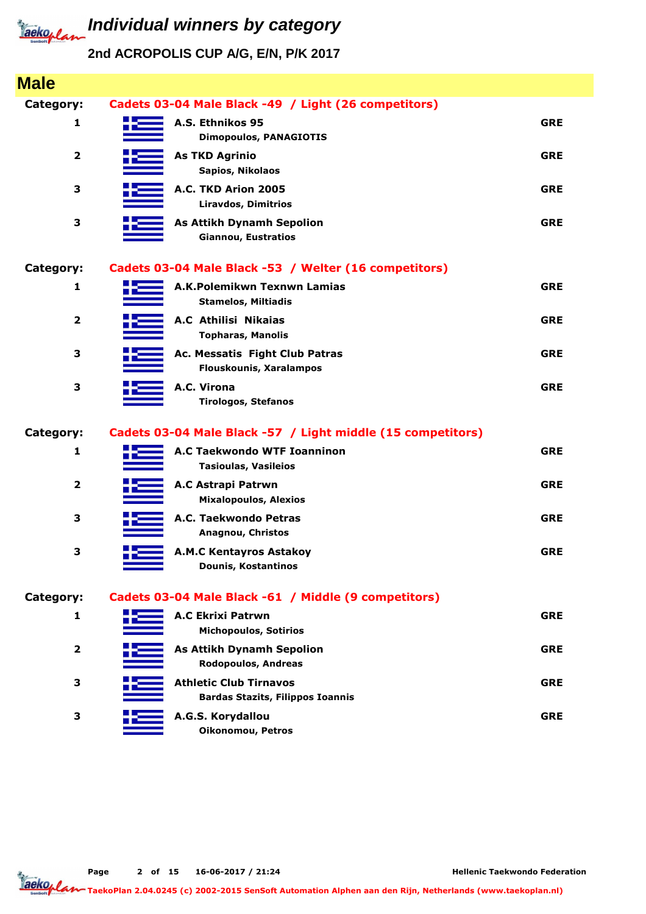

| <b>Male</b>             |                                                                          |            |
|-------------------------|--------------------------------------------------------------------------|------------|
| Category:               | Cadets 03-04 Male Black -49 / Light (26 competitors)                     |            |
| 1                       | A.S. Ethnikos 95<br><b>Dimopoulos, PANAGIOTIS</b>                        | <b>GRE</b> |
| $\overline{\mathbf{2}}$ | <b>As TKD Agrinio</b><br>Sapios, Nikolaos                                | <b>GRE</b> |
| 3                       | A.C. TKD Arion 2005<br><b>Liravdos, Dimitrios</b>                        | <b>GRE</b> |
| 3                       | <b>As Attikh Dynamh Sepolion</b><br><b>Giannou, Eustratios</b>           | <b>GRE</b> |
| Category:               | Cadets 03-04 Male Black -53 / Welter (16 competitors)                    |            |
| $\mathbf{1}$            | A.K.Polemikwn Texnwn Lamias<br><b>Stamelos, Miltiadis</b>                | <b>GRE</b> |
| $\overline{\mathbf{2}}$ | <b>A.C Athilisi Nikaias</b><br><b>Topharas, Manolis</b>                  | <b>GRE</b> |
| 3                       | Ac. Messatis Fight Club Patras<br><b>Flouskounis, Xaralampos</b>         | <b>GRE</b> |
| 3                       | A.C. Virona<br><b>Tirologos, Stefanos</b>                                | <b>GRE</b> |
| Category:               | Cadets 03-04 Male Black -57 / Light middle (15 competitors)              |            |
| 1                       | <b>A.C Taekwondo WTF Ioanninon</b><br><b>Tasioulas, Vasileios</b>        | <b>GRE</b> |
| $\overline{\mathbf{2}}$ | A.C Astrapi Patrwn<br><b>Mixalopoulos, Alexios</b>                       | <b>GRE</b> |
| 3                       | A.C. Taekwondo Petras<br>Anagnou, Christos                               | <b>GRE</b> |
| 3                       | <b>A.M.C Kentayros Astakoy</b><br><b>Dounis, Kostantinos</b>             | <b>GRE</b> |
| Category:               | Cadets 03-04 Male Black -61 / Middle (9 competitors)                     |            |
| 1                       | <b>A.C Ekrixi Patrwn</b><br><b>Michopoulos, Sotirios</b>                 | <b>GRE</b> |
| $\overline{\mathbf{2}}$ | <b>As Attikh Dynamh Sepolion</b><br>Rodopoulos, Andreas                  | <b>GRE</b> |
| 3                       | <b>Athletic Club Tirnavos</b><br><b>Bardas Stazits, Filippos Ioannis</b> | <b>GRE</b> |
| 3                       | A.G.S. Korydallou<br>Oikonomou, Petros                                   | <b>GRE</b> |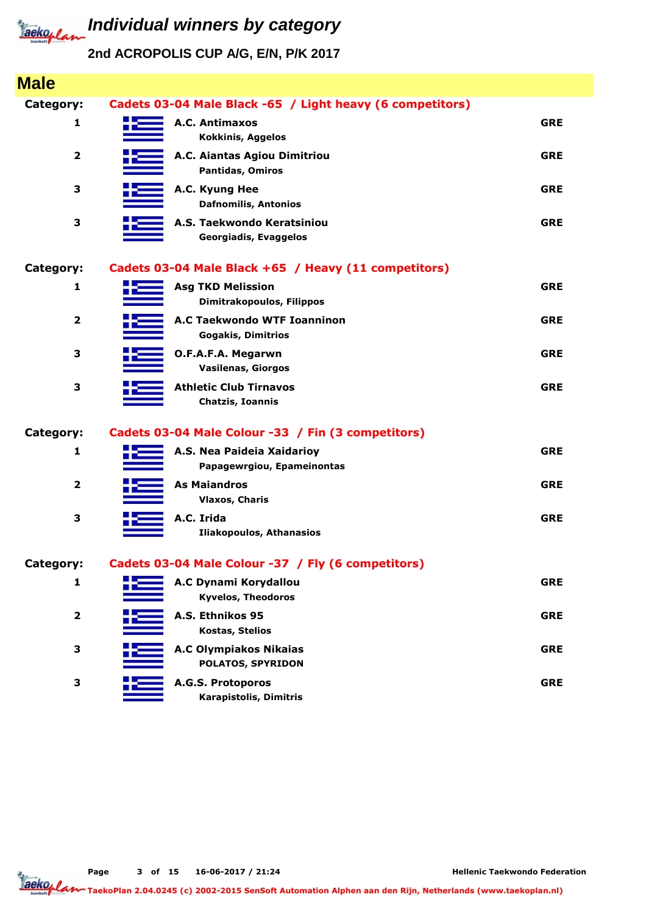

**Individual winners by category** 

### **2nd ACROPOLIS CUP A/G, E/N, P/K 2017**

| <b>Male</b>             |                                                                 |            |
|-------------------------|-----------------------------------------------------------------|------------|
| Category:               | Cadets 03-04 Male Black -65 / Light heavy (6 competitors)       |            |
| 1                       | A.C. Antimaxos<br><b>Kokkinis, Aggelos</b>                      | <b>GRE</b> |
| $\overline{\mathbf{2}}$ | A.C. Aiantas Agiou Dimitriou<br>Pantidas, Omiros                | <b>GRE</b> |
| 3                       | A.C. Kyung Hee<br><b>Dafnomilis, Antonios</b>                   | <b>GRE</b> |
| 3                       | A.S. Taekwondo Keratsiniou<br>Georgiadis, Evaggelos             | <b>GRE</b> |
| Category:               | Cadets 03-04 Male Black +65 / Heavy (11 competitors)            |            |
| 1                       | <b>Asg TKD Melission</b><br>Dimitrakopoulos, Filippos           | <b>GRE</b> |
| $\mathbf{2}$            | <b>A.C Taekwondo WTF Ioanninon</b><br><b>Gogakis, Dimitrios</b> | <b>GRE</b> |
| 3                       | O.F.A.F.A. Megarwn<br><b>Vasilenas, Giorgos</b>                 | <b>GRE</b> |
| 3                       | <b>Athletic Club Tirnavos</b><br>Chatzis, Ioannis               | <b>GRE</b> |
| Category:               | Cadets 03-04 Male Colour -33 / Fin (3 competitors)              |            |
| 1                       | A.S. Nea Paideia Xaidarioy<br>Papagewrgiou, Epameinontas        | <b>GRE</b> |
| $\overline{\mathbf{2}}$ | <b>As Maiandros</b><br><b>Vlaxos, Charis</b>                    | <b>GRE</b> |
| 3                       | A.C. Irida<br><b>Iliakopoulos, Athanasios</b>                   | <b>GRE</b> |
| Category:               | Cadets 03-04 Male Colour -37 / Fly (6 competitors)              |            |
| $\mathbf{1}$            | A.C Dynami Korydallou<br><b>Kyvelos, Theodoros</b>              | <b>GRE</b> |
| $\overline{\mathbf{2}}$ | A.S. Ethnikos 95<br><b>Kostas, Stelios</b>                      | <b>GRE</b> |
| 3                       | <b>A.C Olympiakos Nikaias</b><br>POLATOS, SPYRIDON              | <b>GRE</b> |
| 3                       | A.G.S. Protoporos<br>Karapistolis, Dimitris                     | <b>GRE</b> |

**Page of 15 16-06-2017 / 21:24 3**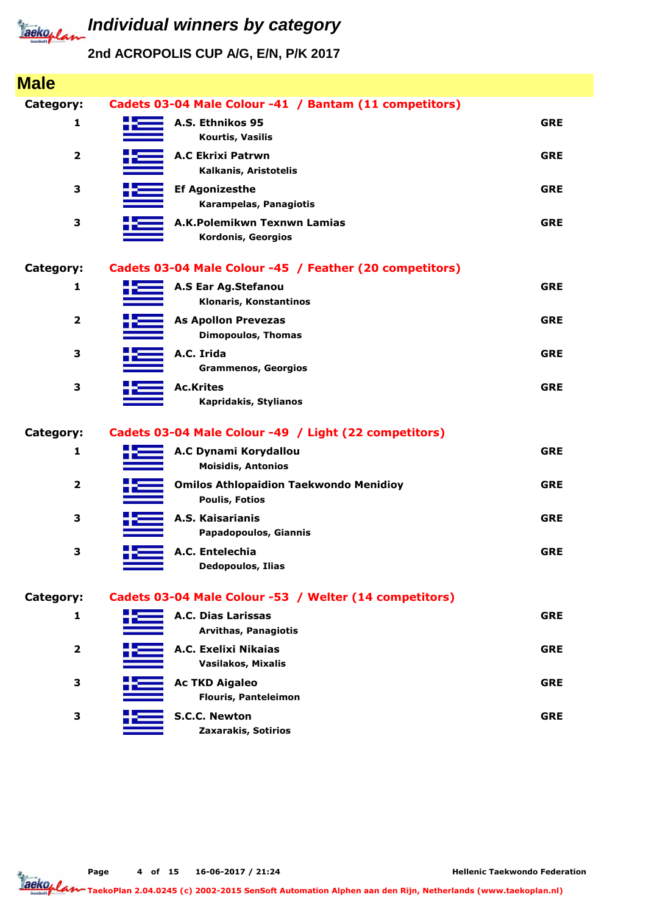

| <b>Male</b>             |                                                                        |            |
|-------------------------|------------------------------------------------------------------------|------------|
| Category:               | Cadets 03-04 Male Colour -41 / Bantam (11 competitors)                 |            |
| 1                       | A.S. Ethnikos 95<br>Kourtis, Vasilis                                   | <b>GRE</b> |
| $\mathbf{2}$            | <b>A.C Ekrixi Patrwn</b><br>Kalkanis, Aristotelis                      | <b>GRE</b> |
| 3                       | <b>Ef Agonizesthe</b><br>Karampelas, Panagiotis                        | <b>GRE</b> |
| 3                       | A.K.Polemikwn Texnwn Lamias<br>Kordonis, Georgios                      | <b>GRE</b> |
| Category:               | Cadets 03-04 Male Colour -45 / Feather (20 competitors)                |            |
| 1                       | A.S Ear Ag.Stefanou<br>Klonaris, Konstantinos                          | <b>GRE</b> |
| $\overline{\mathbf{2}}$ | <b>As Apollon Prevezas</b><br><b>Dimopoulos, Thomas</b>                | <b>GRE</b> |
| 3                       | A.C. Irida<br><b>Grammenos, Georgios</b>                               | <b>GRE</b> |
| 3                       | <b>Ac.Krites</b><br>Kapridakis, Stylianos                              | <b>GRE</b> |
| Category:               | Cadets 03-04 Male Colour -49 / Light (22 competitors)                  |            |
| 1                       | A.C Dynami Korydallou<br><b>Moisidis, Antonios</b>                     | <b>GRE</b> |
| $\overline{\mathbf{2}}$ | <b>Omilos Athlopaidion Taekwondo Menidioy</b><br><b>Poulis, Fotios</b> | <b>GRE</b> |
| 3                       | A.S. Kaisarianis<br>Papadopoulos, Giannis                              | <b>GRE</b> |
| 3                       | A.C. Entelechia<br><b>Dedopoulos, Ilias</b>                            | <b>GRE</b> |
| Category:               | Cadets 03-04 Male Colour -53 / Welter (14 competitors)                 |            |
| 1                       | A.C. Dias Larissas<br><b>Arvithas, Panagiotis</b>                      | <b>GRE</b> |
| $\mathbf{2}$            | A.C. Exelixi Nikaias<br>Vasilakos, Mixalis                             | <b>GRE</b> |
| 3                       | <b>Ac TKD Aigaleo</b><br><b>Flouris, Panteleimon</b>                   | <b>GRE</b> |
| 3                       | S.C.C. Newton<br>Zaxarakis, Sotirios                                   | <b>GRE</b> |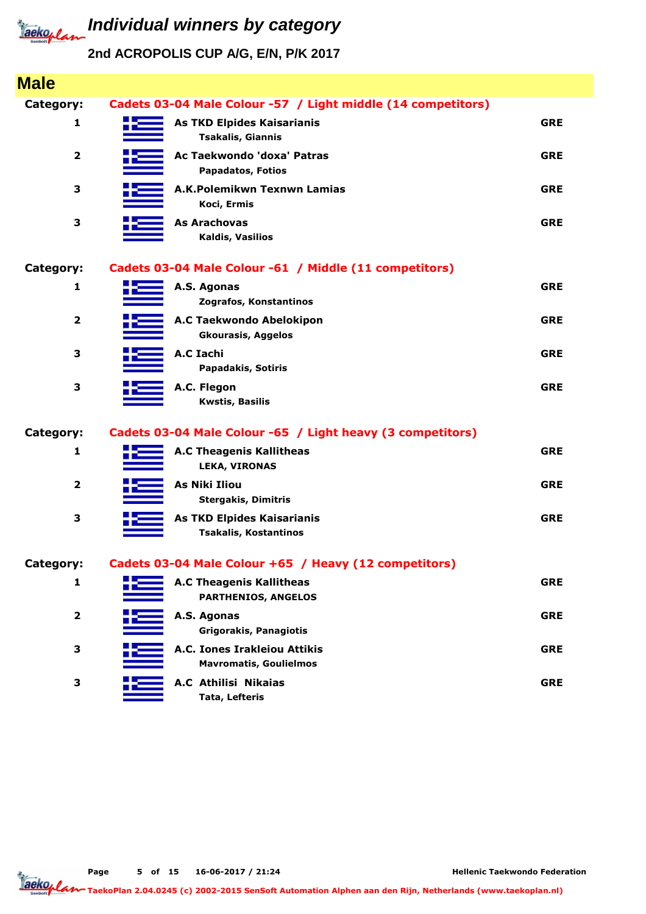

## **2nd ACROPOLIS CUP A/G, E/N, P/K 2017**

| <b>Male</b>             |                                                                   |            |
|-------------------------|-------------------------------------------------------------------|------------|
| <b>Category:</b>        | Cadets 03-04 Male Colour -57 / Light middle (14 competitors)      |            |
| 1                       | <b>As TKD Elpides Kaisarianis</b><br><b>Tsakalis, Giannis</b>     | <b>GRE</b> |
| 2                       | Ac Taekwondo 'doxa' Patras<br><b>Papadatos, Fotios</b>            | <b>GRE</b> |
| 3                       | A.K.Polemikwn Texnwn Lamias<br>Koci, Ermis                        | <b>GRE</b> |
| 3                       | <b>As Arachovas</b><br>Kaldis, Vasilios                           | <b>GRE</b> |
| <b>Category:</b>        | Cadets 03-04 Male Colour -61 / Middle (11 competitors)            |            |
| 1                       | A.S. Agonas<br>Zografos, Konstantinos                             | <b>GRE</b> |
| $\mathbf{2}$            | A.C Taekwondo Abelokipon<br><b>Gkourasis, Aggelos</b>             | <b>GRE</b> |
| З                       | A.C Iachi<br>Papadakis, Sotiris                                   | <b>GRE</b> |
| 3                       | A.C. Flegon<br><b>Kwstis, Basilis</b>                             | <b>GRE</b> |
| <b>Category:</b>        | Cadets 03-04 Male Colour -65 / Light heavy (3 competitors)        |            |
| 1                       | <b>A.C Theagenis Kallitheas</b><br><b>LEKA, VIRONAS</b>           | <b>GRE</b> |
| $\overline{\mathbf{2}}$ | <b>As Niki Iliou</b><br><b>Stergakis, Dimitris</b>                | <b>GRE</b> |
| 3                       | <b>As TKD Elpides Kaisarianis</b><br><b>Tsakalis, Kostantinos</b> | <b>GRE</b> |
| Category:               | Cadets 03-04 Male Colour +65 / Heavy (12 competitors)             |            |
| 1                       | <b>A.C Theagenis Kallitheas</b><br><b>PARTHENIOS, ANGELOS</b>     | <b>GRE</b> |
| $\overline{\mathbf{2}}$ | A.S. Agonas<br>Grigorakis, Panagiotis                             | <b>GRE</b> |
| 3                       | A.C. Iones Irakleiou Attikis<br><b>Mavromatis, Goulielmos</b>     | <b>GRE</b> |
| 3                       | A.C Athilisi Nikaias<br><b>Tata, Lefteris</b>                     | <b>GRE</b> |

**Page of 15 16-06-2017 / 21:24 5**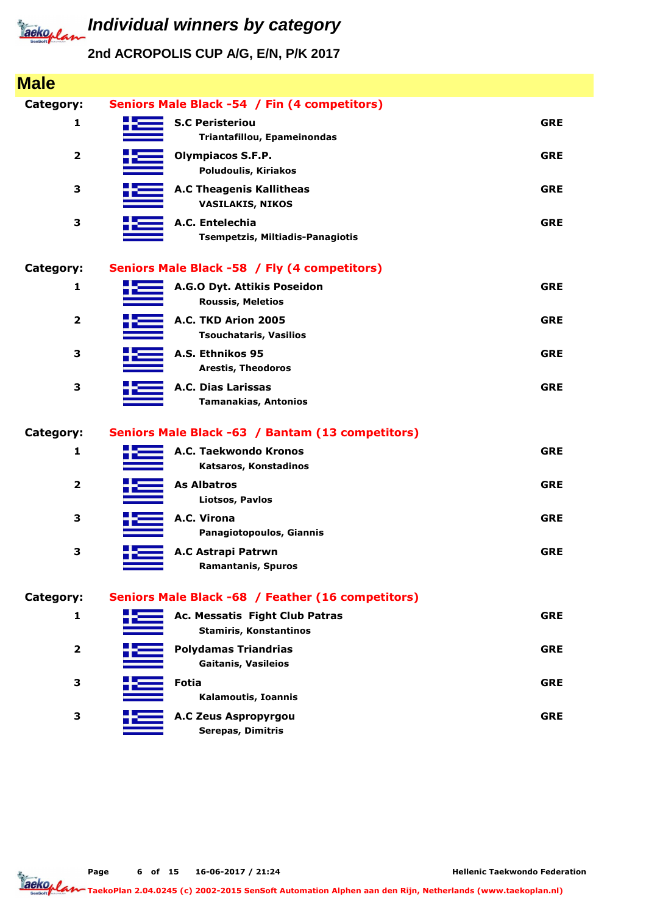

| <b>Male</b>             |                                                                 |            |
|-------------------------|-----------------------------------------------------------------|------------|
| Category:               | Seniors Male Black -54 / Fin (4 competitors)                    |            |
| 1                       | <b>S.C Peristeriou</b><br>Triantafillou, Epameinondas           | <b>GRE</b> |
| 2                       | <b>Olympiacos S.F.P.</b><br><b>Poludoulis, Kiriakos</b>         | <b>GRE</b> |
| 3                       | <b>A.C Theagenis Kallitheas</b><br><b>VASILAKIS, NIKOS</b>      | <b>GRE</b> |
| 3                       | A.C. Entelechia<br>Tsempetzis, Miltiadis-Panagiotis             | <b>GRE</b> |
| Category:               | Seniors Male Black -58 / Fly (4 competitors)                    |            |
| 1                       | A.G.O Dyt. Attikis Poseidon<br><b>Roussis, Meletios</b>         | <b>GRE</b> |
| 2                       | A.C. TKD Arion 2005<br><b>Tsouchataris, Vasilios</b>            | <b>GRE</b> |
| 3                       | A.S. Ethnikos 95<br><b>Arestis, Theodoros</b>                   | <b>GRE</b> |
| 3                       | A.C. Dias Larissas<br><b>Tamanakias, Antonios</b>               | <b>GRE</b> |
| Category:               | Seniors Male Black -63 / Bantam (13 competitors)                |            |
| 1                       | A.C. Taekwondo Kronos<br>Katsaros, Konstadinos                  | <b>GRE</b> |
| $\overline{\mathbf{2}}$ | <b>As Albatros</b><br>Liotsos, Pavlos                           | <b>GRE</b> |
| 3                       | A.C. Virona<br>Panagiotopoulos, Giannis                         | <b>GRE</b> |
| 3                       | A.C Astrapi Patrwn<br><b>Ramantanis, Spuros</b>                 | <b>GRE</b> |
| Category:               | Seniors Male Black -68 / Feather (16 competitors)               |            |
| 1                       | Ac. Messatis Fight Club Patras<br><b>Stamiris, Konstantinos</b> | <b>GRE</b> |
| $\mathbf{2}$            | <b>Polydamas Triandrias</b><br><b>Gaitanis, Vasileios</b>       | <b>GRE</b> |
| 3                       | <b>Fotia</b><br>Kalamoutis, Ioannis                             | <b>GRE</b> |
| 3                       | A.C Zeus Aspropyrgou<br><b>Serepas, Dimitris</b>                | <b>GRE</b> |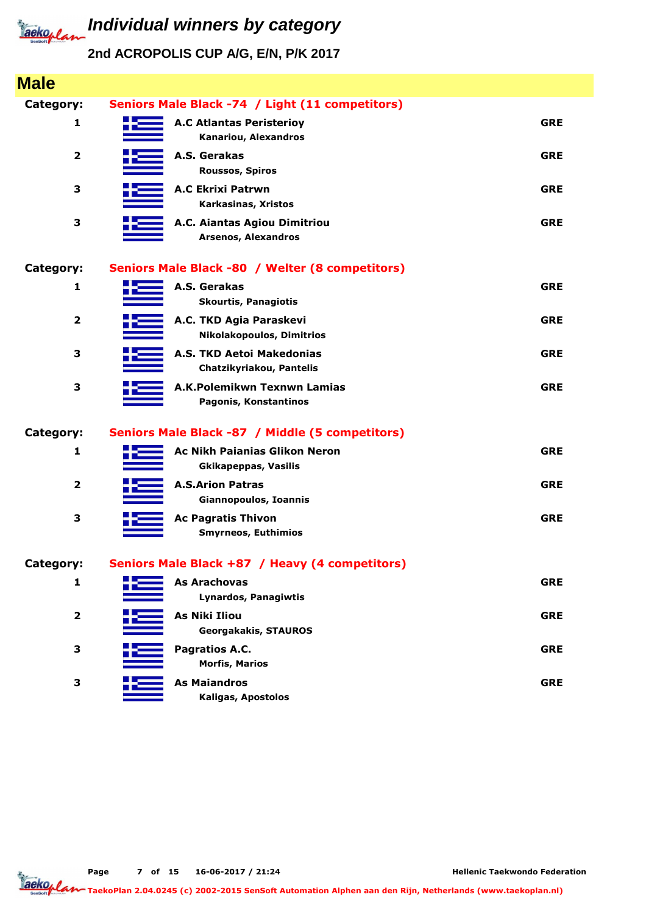

### **2nd ACROPOLIS CUP A/G, E/N, P/K 2017**

| <b>Male</b>             |                                                                     |            |
|-------------------------|---------------------------------------------------------------------|------------|
| Category:               | Seniors Male Black -74 / Light (11 competitors)                     |            |
| 1                       | <b>A.C Atlantas Peristerioy</b><br>Kanariou, Alexandros             | <b>GRE</b> |
| $\overline{\mathbf{2}}$ | A.S. Gerakas<br><b>Roussos, Spiros</b>                              | <b>GRE</b> |
| 3                       | <b>A.C Ekrixi Patrwn</b><br>Karkasinas, Xristos                     | <b>GRE</b> |
| 3                       | A.C. Aiantas Agiou Dimitriou<br><b>Arsenos, Alexandros</b>          | <b>GRE</b> |
| <b>Category:</b>        | Seniors Male Black -80 / Welter (8 competitors)                     |            |
| 1                       | A.S. Gerakas<br><b>Skourtis, Panagiotis</b>                         | <b>GRE</b> |
| $\mathbf{2}$            | A.C. TKD Agia Paraskevi<br><b>Nikolakopoulos, Dimitrios</b>         | <b>GRE</b> |
| 3                       | A.S. TKD Aetoi Makedonias<br>Chatzikyriakou, Pantelis               | <b>GRE</b> |
| 3                       | A.K.Polemikwn Texnwn Lamias<br>Pagonis, Konstantinos                | <b>GRE</b> |
| <b>Category:</b>        | Seniors Male Black -87 / Middle (5 competitors)                     |            |
| 1                       | <b>Ac Nikh Paianias Glikon Neron</b><br><b>Gkikapeppas, Vasilis</b> | <b>GRE</b> |
| $\overline{\mathbf{2}}$ | <b>A.S.Arion Patras</b><br>Giannopoulos, Ioannis                    | <b>GRE</b> |
| 3                       | <b>Ac Pagratis Thivon</b><br><b>Smyrneos, Euthimios</b>             | <b>GRE</b> |
| Category:               | Seniors Male Black +87 / Heavy (4 competitors)                      |            |
| $\mathbf{1}$            | <b>As Arachovas</b><br>Lynardos, Panagiwtis                         | <b>GRE</b> |
| $\overline{\mathbf{2}}$ | As Niki Iliou<br><b>Georgakakis, STAUROS</b>                        | <b>GRE</b> |
| 3                       | Pagratios A.C.<br><b>Morfis, Marios</b>                             | <b>GRE</b> |
| 3                       | <b>As Maiandros</b><br>Kaligas, Apostolos                           | <b>GRE</b> |

**Page of 15 16-06-2017 / 21:24 7**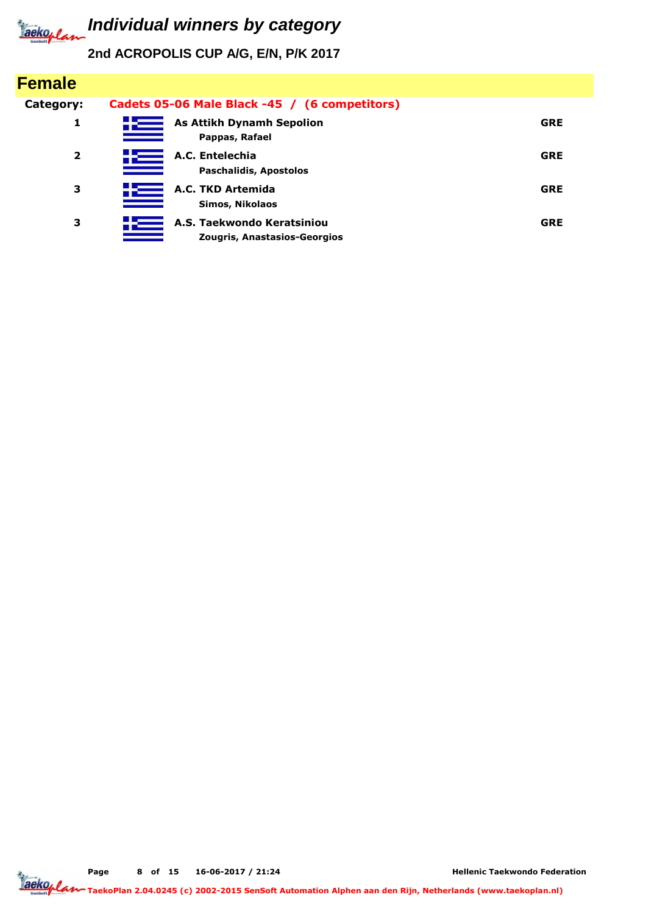

# **Individual winners by category**

**2nd ACROPOLIS CUP A/G, E/N, P/K 2017**

| <b>Female</b> |                                                            |            |
|---------------|------------------------------------------------------------|------------|
| Category:     | Cadets 05-06 Male Black -45 / (6 competitors)              |            |
| 1             | <b>As Attikh Dynamh Sepolion</b><br>Pappas, Rafael         | <b>GRE</b> |
| 2             | A.C. Entelechia<br><b>Paschalidis, Apostolos</b>           | <b>GRE</b> |
| з             | A.C. TKD Artemida<br>Simos, Nikolaos                       | <b>GRE</b> |
| 3             | A.S. Taekwondo Keratsiniou<br>Zougris, Anastasios-Georgios | <b>GRE</b> |

**Page of 15 16-06-2017 / 21:24 8**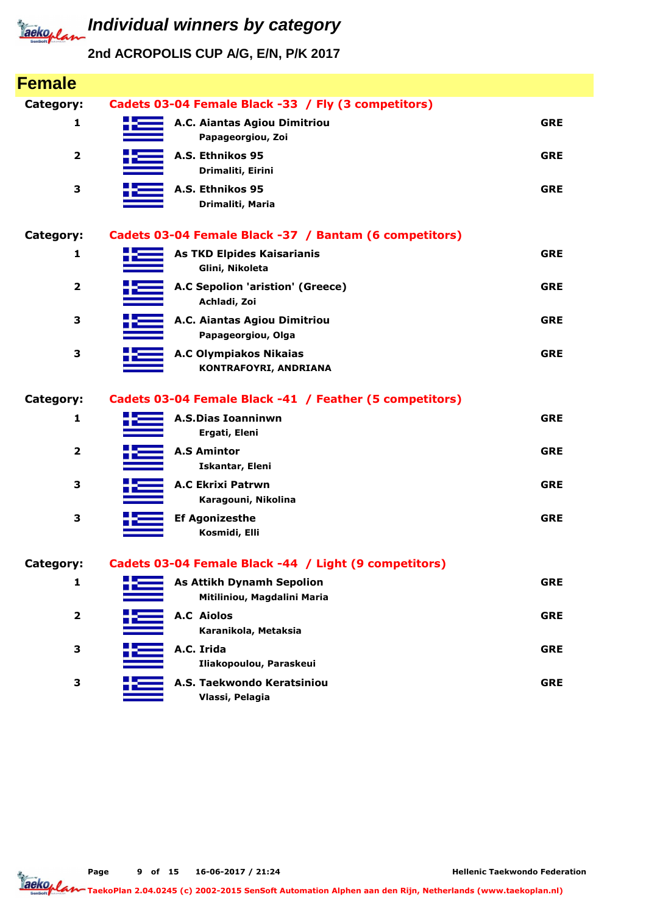

| <b>Female</b>           |                                                                 |            |
|-------------------------|-----------------------------------------------------------------|------------|
| Category:               | Cadets 03-04 Female Black -33 / Fly (3 competitors)             |            |
| 1                       | A.C. Aiantas Agiou Dimitriou<br>Papageorgiou, Zoi               | <b>GRE</b> |
| $\mathbf{2}$            | A.S. Ethnikos 95<br>Drimaliti, Eirini                           | <b>GRE</b> |
| 3                       | A.S. Ethnikos 95<br>Drimaliti, Maria                            | <b>GRE</b> |
| Category:               | Cadets 03-04 Female Black -37 / Bantam (6 competitors)          |            |
| 1                       | <b>As TKD Elpides Kaisarianis</b><br>Glini, Nikoleta            | <b>GRE</b> |
| 2                       | A.C Sepolion 'aristion' (Greece)<br>Achladi, Zoi                | <b>GRE</b> |
| 3                       | A.C. Aiantas Agiou Dimitriou<br>Papageorgiou, Olga              | <b>GRE</b> |
| 3                       | <b>A.C Olympiakos Nikaias</b><br>KONTRAFOYRI, ANDRIANA          | <b>GRE</b> |
| Category:               | Cadets 03-04 Female Black -41 / Feather (5 competitors)         |            |
| 1                       | <b>A.S.Dias Ioanninwn</b><br>Ergati, Eleni                      | <b>GRE</b> |
| $\overline{\mathbf{2}}$ | <b>A.S Amintor</b><br>Iskantar, Eleni                           | <b>GRE</b> |
| 3                       | <b>A.C Ekrixi Patrwn</b><br>Karagouni, Nikolina                 | <b>GRE</b> |
| 3                       | <b>Ef Agonizesthe</b><br>Kosmidi, Elli                          | <b>GRE</b> |
| Category:               | Cadets 03-04 Female Black -44 / Light (9 competitors)           |            |
| 1                       | <b>As Attikh Dynamh Sepolion</b><br>Mitiliniou, Magdalini Maria | <b>GRE</b> |
| 2                       | <b>A.C Aiolos</b><br>Karanikola, Metaksia                       | <b>GRE</b> |
| 3                       | A.C. Irida                                                      | <b>GRE</b> |
|                         | Iliakopoulou, Paraskeui                                         |            |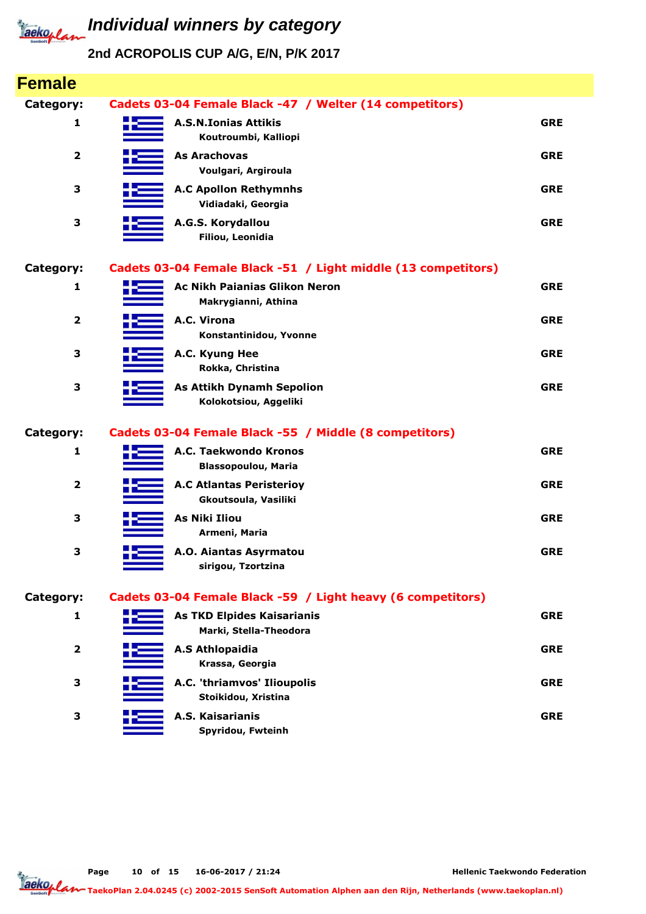

| <b>Female</b>           |                                                               |            |
|-------------------------|---------------------------------------------------------------|------------|
| Category:               | Cadets 03-04 Female Black -47 / Welter (14 competitors)       |            |
| 1                       | <b>A.S.N.Ionias Attikis</b><br>Koutroumbi, Kalliopi           | <b>GRE</b> |
| 2                       | <b>As Arachovas</b><br>Voulgari, Argiroula                    | <b>GRE</b> |
| 3                       | <b>A.C Apollon Rethymnhs</b><br>Vidiadaki, Georgia            | <b>GRE</b> |
| 3                       | A.G.S. Korydallou<br>Filiou, Leonidia                         | <b>GRE</b> |
| Category:               | Cadets 03-04 Female Black -51 / Light middle (13 competitors) |            |
| 1                       | <b>Ac Nikh Paianias Glikon Neron</b><br>Makrygianni, Athina   | <b>GRE</b> |
| $\overline{\mathbf{2}}$ | A.C. Virona<br>Konstantinidou, Yvonne                         | <b>GRE</b> |
| 3                       | A.C. Kyung Hee<br>Rokka, Christina                            | <b>GRE</b> |
| 3                       | <b>As Attikh Dynamh Sepolion</b><br>Kolokotsiou, Aggeliki     | <b>GRE</b> |
| Category:               | Cadets 03-04 Female Black -55 / Middle (8 competitors)        |            |
| 1                       | A.C. Taekwondo Kronos<br><b>Blassopoulou, Maria</b>           | <b>GRE</b> |
| $\overline{2}$          | <b>A.C Atlantas Peristerioy</b><br>Gkoutsoula, Vasiliki       | <b>GRE</b> |
| 3                       | <b>As Niki Iliou</b><br>Armeni, Maria                         | <b>GRE</b> |
| З                       | A.O. Aiantas Asyrmatou<br>sirigou, Tzortzina                  | <b>GRE</b> |
| Category:               | Cadets 03-04 Female Black -59 / Light heavy (6 competitors)   |            |
| 1                       | <b>As TKD Elpides Kaisarianis</b><br>Marki, Stella-Theodora   | <b>GRE</b> |
| 2                       | <b>A.S Athlopaidia</b><br>Krassa, Georgia                     | <b>GRE</b> |
| 3                       | A.C. 'thriamvos' Ilioupolis<br>Stoikidou, Xristina            | <b>GRE</b> |
| 3                       | A.S. Kaisarianis<br>Spyridou, Fwteinh                         | <b>GRE</b> |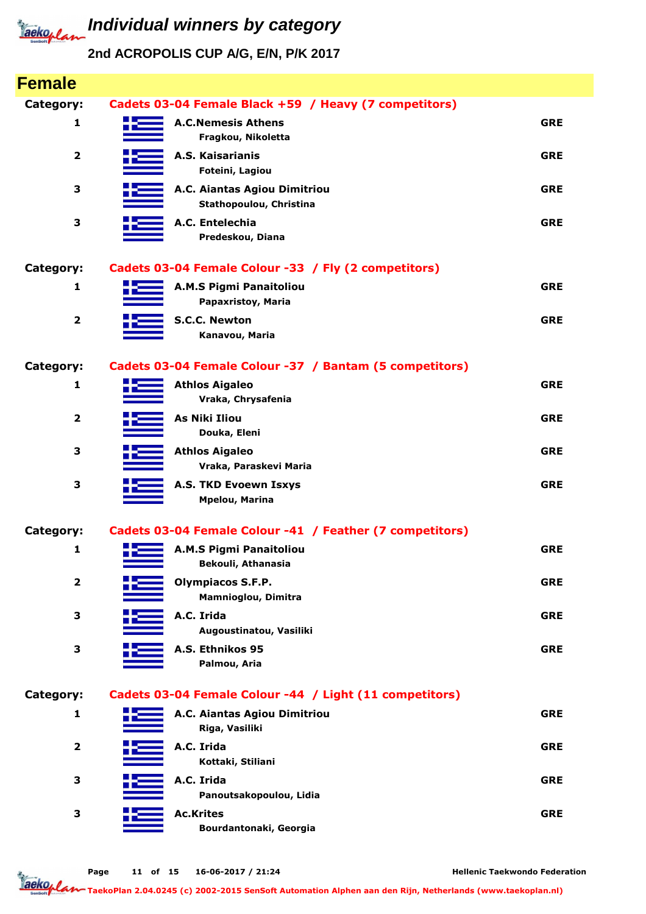

## **2nd ACROPOLIS CUP A/G, E/N, P/K 2017**

| <b>Female</b>           |                                                          |            |
|-------------------------|----------------------------------------------------------|------------|
| Category:               | Cadets 03-04 Female Black +59 / Heavy (7 competitors)    |            |
| 1                       | <b>A.C.Nemesis Athens</b><br>Fragkou, Nikoletta          | <b>GRE</b> |
| $\overline{\mathbf{2}}$ | A.S. Kaisarianis<br>Foteini, Lagiou                      | <b>GRE</b> |
| 3                       | A.C. Aiantas Agiou Dimitriou<br>Stathopoulou, Christina  | <b>GRE</b> |
| 3                       | A.C. Entelechia<br>Predeskou, Diana                      | <b>GRE</b> |
| <b>Category:</b>        | Cadets 03-04 Female Colour -33 / Fly (2 competitors)     |            |
| 1                       | <b>A.M.S Pigmi Panaitoliou</b><br>Papaxristoy, Maria     | <b>GRE</b> |
| $\overline{\mathbf{2}}$ | <b>S.C.C. Newton</b><br>Kanavou, Maria                   | <b>GRE</b> |
| <b>Category:</b>        | Cadets 03-04 Female Colour -37 / Bantam (5 competitors)  |            |
| 1                       | <b>Athlos Aigaleo</b><br>Vraka, Chrysafenia              | <b>GRE</b> |
| $\overline{\mathbf{2}}$ | <b>As Niki Iliou</b><br>Douka, Eleni                     | <b>GRE</b> |
| 3                       | <b>Athlos Aigaleo</b><br>Vraka, Paraskevi Maria          | <b>GRE</b> |
| 3                       | A.S. TKD Evoewn Isxys<br><b>Mpelou, Marina</b>           | <b>GRE</b> |
| Category:               | Cadets 03-04 Female Colour -41 / Feather (7 competitors) |            |
| 1                       | A.M.S Pigmi Panaitoliou<br>Bekouli, Athanasia            | <b>GRE</b> |
| $\overline{\mathbf{2}}$ | <b>Olympiacos S.F.P.</b><br>Mamnioglou, Dimitra          | <b>GRE</b> |
| 3                       | A.C. Irida<br>Augoustinatou, Vasiliki                    | <b>GRE</b> |
| 3                       | A.S. Ethnikos 95<br>Palmou, Aria                         | <b>GRE</b> |
| Category:               | Cadets 03-04 Female Colour -44 / Light (11 competitors)  |            |
| 1                       | A.C. Aiantas Agiou Dimitriou<br>Riga, Vasiliki           | <b>GRE</b> |
| $\mathbf{2}$            | A.C. Irida<br>Kottaki, Stiliani                          | <b>GRE</b> |
| 3                       | A.C. Irida<br>Panoutsakopoulou, Lidia                    | <b>GRE</b> |
| 3                       | <b>Ac.Krites</b><br>Bourdantonaki, Georgia               | <b>GRE</b> |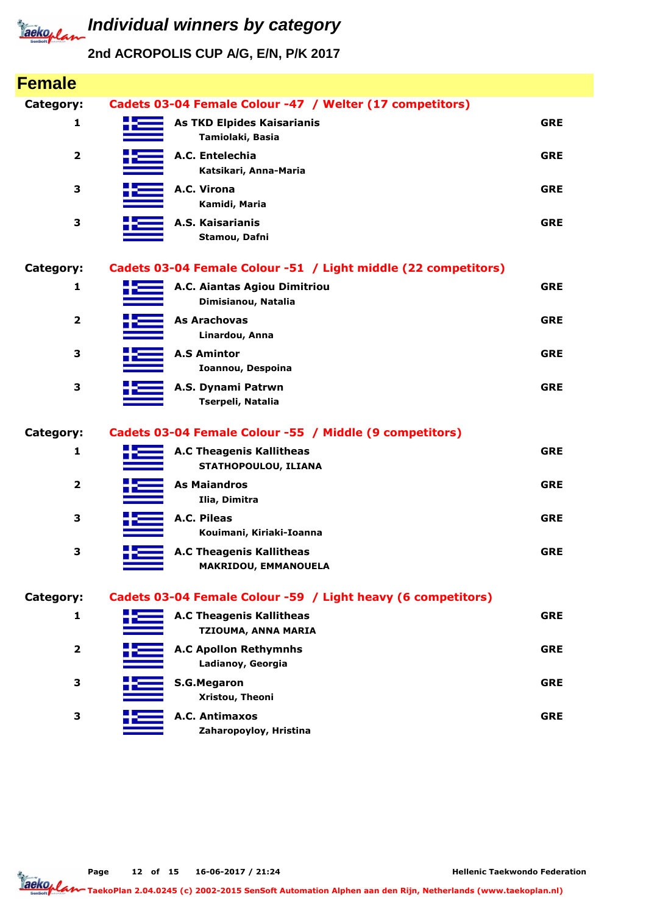

| <b>Female</b>           |                                                                |            |
|-------------------------|----------------------------------------------------------------|------------|
| Category:               | Cadets 03-04 Female Colour -47 / Welter (17 competitors)       |            |
| 1                       | <b>As TKD Elpides Kaisarianis</b><br>Tamiolaki, Basia          | <b>GRE</b> |
| $\overline{\mathbf{2}}$ | A.C. Entelechia<br>Katsikari, Anna-Maria                       | <b>GRE</b> |
| 3                       | A.C. Virona<br>Kamidi, Maria                                   | <b>GRE</b> |
| 3                       | A.S. Kaisarianis<br>Stamou, Dafni                              | <b>GRE</b> |
| <b>Category:</b>        | Cadets 03-04 Female Colour -51 / Light middle (22 competitors) |            |
| 1                       | A.C. Aiantas Agiou Dimitriou<br>Dimisianou, Natalia            | <b>GRE</b> |
| $\overline{\mathbf{2}}$ | <b>As Arachovas</b><br>Linardou, Anna                          | <b>GRE</b> |
| 3                       | <b>A.S Amintor</b><br>Ioannou, Despoina                        | <b>GRE</b> |
| 3                       | A.S. Dynami Patrwn<br>Tserpeli, Natalia                        | <b>GRE</b> |
| <b>Category:</b>        | Cadets 03-04 Female Colour -55 / Middle (9 competitors)        |            |
| 1                       | <b>A.C Theagenis Kallitheas</b><br>STATHOPOULOU, ILIANA        | <b>GRE</b> |
| 2                       | <b>As Maiandros</b><br>Ilia, Dimitra                           | <b>GRE</b> |
| 3                       | A.C. Pileas<br>Kouimani, Kiriaki-Ioanna                        | <b>GRE</b> |
| З                       | <b>A.C Theagenis Kallitheas</b><br>MAKRIDOU, EMMANOUELA        | <b>GRE</b> |
| <b>Category:</b>        | Cadets 03-04 Female Colour -59 / Light heavy (6 competitors)   |            |
| 1                       | <b>A.C Theagenis Kallitheas</b><br>TZIOUMA, ANNA MARIA         | <b>GRE</b> |
| $\overline{\mathbf{2}}$ | <b>A.C Apollon Rethymnhs</b><br>Ladianoy, Georgia              | <b>GRE</b> |
| 3                       | <b>S.G.Megaron</b><br>Xristou, Theoni                          | <b>GRE</b> |
| 3                       | A.C. Antimaxos<br>Zaharopoyloy, Hristina                       | <b>GRE</b> |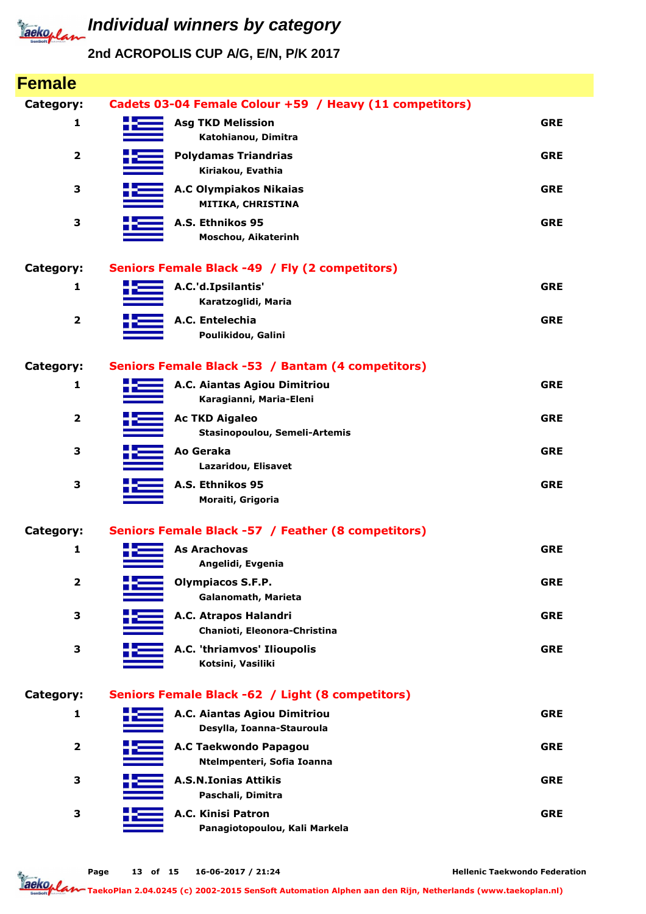

**2nd ACROPOLIS CUP A/G, E/N, P/K 2017**

| <b>Female</b>           |                                                           |            |
|-------------------------|-----------------------------------------------------------|------------|
| Category:               | Cadets 03-04 Female Colour +59 / Heavy (11 competitors)   |            |
| 1                       | <b>Asg TKD Melission</b><br>Katohianou, Dimitra           | <b>GRE</b> |
| $\overline{\mathbf{2}}$ | <b>Polydamas Triandrias</b><br>Kiriakou, Evathia          | <b>GRE</b> |
| 3                       | <b>A.C Olympiakos Nikaias</b><br>MITIKA, CHRISTINA        | <b>GRE</b> |
| 3                       | A.S. Ethnikos 95<br>Moschou, Aikaterinh                   | <b>GRE</b> |
| Category:               | Seniors Female Black -49 / Fly (2 competitors)            |            |
| 1                       | A.C.'d.Ipsilantis'<br>Karatzoglidi, Maria                 | <b>GRE</b> |
| $\overline{\mathbf{2}}$ | A.C. Entelechia<br>Poulikidou, Galini                     | <b>GRE</b> |
| <b>Category:</b>        | Seniors Female Black -53 / Bantam (4 competitors)         |            |
| 1                       | A.C. Aiantas Agiou Dimitriou<br>Karagianni, Maria-Eleni   | <b>GRE</b> |
| $\overline{\mathbf{2}}$ | <b>Ac TKD Aigaleo</b><br>Stasinopoulou, Semeli-Artemis    | <b>GRE</b> |
| 3                       | Ao Geraka<br>Lazaridou, Elisavet                          | <b>GRE</b> |
| 3                       | A.S. Ethnikos 95<br>Moraiti, Grigoria                     | <b>GRE</b> |
| Category:               | Seniors Female Black -57 / Feather (8 competitors)        |            |
| 1                       | <b>As Arachovas</b><br>Angelidi, Evgenia                  | <b>GRE</b> |
| $\overline{\mathbf{2}}$ | <b>Olympiacos S.F.P.</b><br>Galanomath, Marieta           | <b>GRE</b> |
| 3                       | A.C. Atrapos Halandri<br>Chanioti, Eleonora-Christina     | <b>GRE</b> |
| 3                       | A.C. 'thriamvos' Ilioupolis<br>Kotsini, Vasiliki          | <b>GRE</b> |
| Category:               | Seniors Female Black -62 / Light (8 competitors)          |            |
| 1                       | A.C. Aiantas Agiou Dimitriou<br>Desylla, Ioanna-Stauroula | <b>GRE</b> |
| $\mathbf{2}$            | A.C Taekwondo Papagou<br>Ntelmpenteri, Sofia Ioanna       | <b>GRE</b> |
| 3                       | <b>A.S.N.Ionias Attikis</b><br>Paschali, Dimitra          | <b>GRE</b> |
| 3                       | A.C. Kinisi Patron<br>Panagiotopoulou, Kali Markela       | <b>GRE</b> |
|                         |                                                           |            |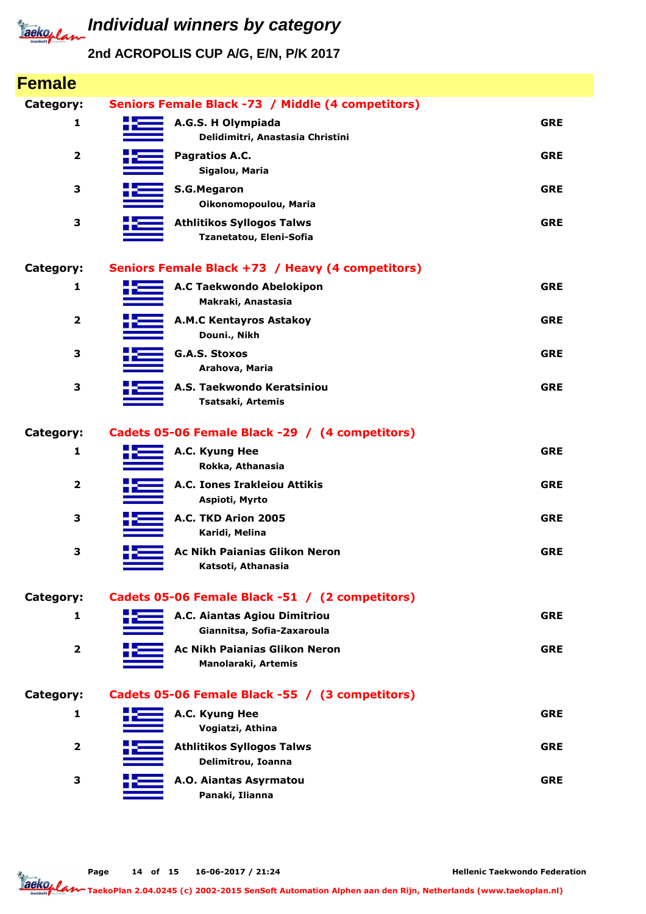

| <b>Female</b>           |                                                             |            |
|-------------------------|-------------------------------------------------------------|------------|
| Category:               | Seniors Female Black -73 / Middle (4 competitors)           |            |
| 1                       | A.G.S. H Olympiada<br>Delidimitri, Anastasia Christini      | <b>GRE</b> |
| $\overline{\mathbf{2}}$ | Pagratios A.C.<br>Sigalou, Maria                            | <b>GRE</b> |
| 3                       | <b>S.G.Megaron</b><br>Oikonomopoulou, Maria                 | <b>GRE</b> |
| 3                       | <b>Athlitikos Syllogos Talws</b><br>Tzanetatou, Eleni-Sofia | <b>GRE</b> |
| <b>Category:</b>        | Seniors Female Black +73 / Heavy (4 competitors)            |            |
| 1                       | A.C Taekwondo Abelokipon<br>Makraki, Anastasia              | <b>GRE</b> |
| $\overline{\mathbf{2}}$ | <b>A.M.C Kentayros Astakoy</b><br>Douni., Nikh              | <b>GRE</b> |
| 3                       | <b>G.A.S. Stoxos</b><br>Arahova, Maria                      | <b>GRE</b> |
| 3                       | A.S. Taekwondo Keratsiniou<br>Tsatsaki, Artemis             | <b>GRE</b> |
| <b>Category:</b>        | Cadets 05-06 Female Black -29 / (4 competitors)             |            |
| 1                       | A.C. Kyung Hee<br>Rokka, Athanasia                          | <b>GRE</b> |
| 2                       | A.C. Iones Irakleiou Attikis<br>Aspioti, Myrto              | <b>GRE</b> |
| 3                       | A.C. TKD Arion 2005<br>Karidi, Melina                       | <b>GRE</b> |
| 3                       | <b>Ac Nikh Paianias Glikon Neron</b><br>Katsoti, Athanasia  | <b>GRE</b> |
| <b>Category:</b>        | Cadets 05-06 Female Black -51 / (2 competitors)             |            |
| 1                       | A.C. Aiantas Agiou Dimitriou<br>Giannitsa, Sofia-Zaxaroula  | <b>GRE</b> |
| $\mathbf{2}$            | <b>Ac Nikh Paianias Glikon Neron</b><br>Manolaraki, Artemis | <b>GRE</b> |
| <b>Category:</b>        | Cadets 05-06 Female Black -55 / (3 competitors)             |            |
| 1                       | A.C. Kyung Hee<br>Vogiatzi, Athina                          | <b>GRE</b> |
| 2                       | <b>Athlitikos Syllogos Talws</b><br>Delimitrou, Ioanna      | <b>GRE</b> |
| 3                       | A.O. Aiantas Asyrmatou<br>Panaki, Ilianna                   | <b>GRE</b> |